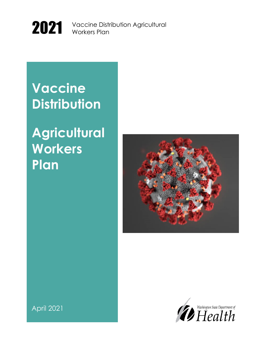

2021 Vaccine Distribution Agricultural Workers Plan

Vaccine Distribution Agricultural

Vaccine Distribution Agricultural

# 2021<br>2022 **Vaccine Distribution**

# **Agricultural** wom<br>Plan **Workers Plan**





April 2021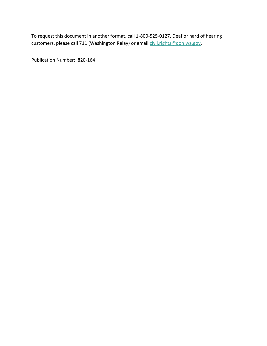To request this document in another format, call 1-800-525-0127. Deaf or hard of hearing customers, please call 711 (Washington Relay) or email [civil.rights@doh.wa.gov.](mailto:civil.rights@doh.wa.gov)

Publication Number: 820-164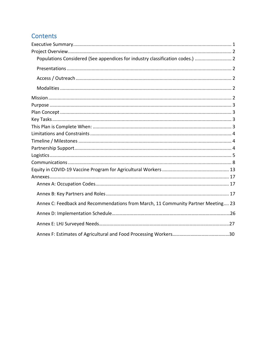### Contents

| Populations Considered (See appendices for industry classification codes.)  2     |
|-----------------------------------------------------------------------------------|
|                                                                                   |
|                                                                                   |
|                                                                                   |
|                                                                                   |
|                                                                                   |
|                                                                                   |
|                                                                                   |
|                                                                                   |
|                                                                                   |
|                                                                                   |
|                                                                                   |
|                                                                                   |
|                                                                                   |
|                                                                                   |
|                                                                                   |
|                                                                                   |
|                                                                                   |
| Annex C: Feedback and Recommendations from March, 11 Community Partner Meeting 23 |
|                                                                                   |
|                                                                                   |
|                                                                                   |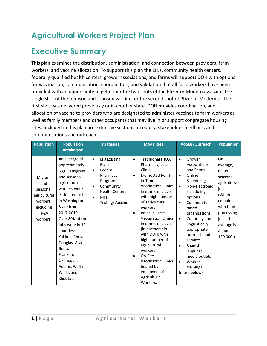## **Agricultural Workers Project Plan**

### <span id="page-4-0"></span>**Executive Summary**

This plan examines the distribution, administration, and connection between providers, farm workers, and vaccine allocation. To support this plan the LHJs, community health centers, federally qualified health centers, grower associations, and farms will support DOH with options for vaccination, communication, coordination, and validation that all farm workers have been provided with an opportunity to get either the two shots of the Pfizer or Moderna vaccine, the single shot of the Johnson and Johnson vaccine, or the second shot of Pfizer or Moderna if the first shot was delivered previously or in another state. DOH provides coordination, and allocation of vaccine to providers who are designated to administer vaccines to farm workers as well as family members and other occupants that may live in or support congregate housing sites. Included in this plan are extensive sections on equity, stakeholder feedback, and communications and outreach.

| <b>Population</b>                                                                           | <b>Population</b><br><b>Breakdown</b>                                                                                                                                                                                                                                                                                                      | <b>Strategies</b>                                                                                                                                                                  | <b>Modalities</b>                                                                                                                                                                                                                                                                                                                                                                                                                                                                                  | Access/Outreach                                                                                                                                                                                                                                                                                                                                                                                         | <b>Population</b>                                                                                                                                              |
|---------------------------------------------------------------------------------------------|--------------------------------------------------------------------------------------------------------------------------------------------------------------------------------------------------------------------------------------------------------------------------------------------------------------------------------------------|------------------------------------------------------------------------------------------------------------------------------------------------------------------------------------|----------------------------------------------------------------------------------------------------------------------------------------------------------------------------------------------------------------------------------------------------------------------------------------------------------------------------------------------------------------------------------------------------------------------------------------------------------------------------------------------------|---------------------------------------------------------------------------------------------------------------------------------------------------------------------------------------------------------------------------------------------------------------------------------------------------------------------------------------------------------------------------------------------------------|----------------------------------------------------------------------------------------------------------------------------------------------------------------|
|                                                                                             |                                                                                                                                                                                                                                                                                                                                            |                                                                                                                                                                                    |                                                                                                                                                                                                                                                                                                                                                                                                                                                                                                    |                                                                                                                                                                                                                                                                                                                                                                                                         |                                                                                                                                                                |
| Migrant<br>and<br>seasonal<br>agricultural<br>workers,<br>including<br>$H - 2A$<br>workers. | An average of<br>approximately<br>69,000 migrant<br>and seasonal<br>agricultural<br>workers were<br>estimated to be<br>in Washington<br>State from<br>2017-2019.<br>Over 80% of the<br>jobs were in 10<br>counties:<br>Yakima, Chelan,<br>Douglas, Grant,<br>Benton,<br>Franklin,<br>Okanogan,<br>Adams, Walla<br>Walla, and<br>Klickitat. | <b>LHJ Existing</b><br>$\bullet$<br>Plans<br>Federal<br>$\bullet$<br>Pharmacy<br>Program<br>Community<br>$\bullet$<br><b>Health Centers</b><br>MTI<br>$\bullet$<br>Testing/Vaccine | Traditional (HOS,<br>$\bullet$<br>Pharmacy, Local<br>Clinic)<br>LHJ hosted Point-<br>$\bullet$<br>in-Time<br><b>Vaccination Clinics</b><br>in ethnic enclaves<br>with high number<br>of agricultural<br>workers<br>Point-in-Time<br>$\bullet$<br><b>Vaccination Clinics</b><br>in ethnic enclaves<br>(in partnership<br>with DOH) with<br>high number of<br>agricultural<br>workers<br>On-Site<br>$\bullet$<br><b>Vaccination Clinics</b><br>hosted by<br>employers of<br>Agricultural<br>Workers. | Grower<br>$\bullet$<br>Associations<br>and Farms<br>Online<br>$\bullet$<br>Scheduling<br>Non-electronic<br>$\bullet$<br>scheduling<br>options<br>Community-<br>$\bullet$<br>based<br>organizations<br>Culturally and<br>$\bullet$<br>linguistically<br>appropriate<br>outreach and<br>services<br>Spanish<br>$\bullet$<br>language<br>media outlets<br>Worker<br>$\bullet$<br>trainings<br>(more below) | On<br>average,<br>68,981<br>seasonal<br>agricultural<br>jobs.<br>(When<br>combined<br>with food<br>processing<br>jobs, the<br>average is<br>about<br>120,000.) |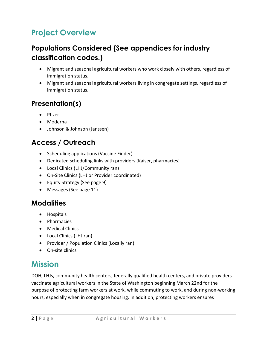## <span id="page-5-0"></span>**Project Overview**

### <span id="page-5-1"></span>**Populations Considered (See appendices for industry classification codes.)**

- Migrant and seasonal agricultural workers who work closely with others, regardless of immigration status.
- Migrant and seasonal agricultural workers living in congregate settings, regardless of immigration status.

### <span id="page-5-2"></span>**Presentation(s)**

- Pfizer
- Moderna
- Johnson & Johnson (Janssen)

### <span id="page-5-3"></span>**Access / Outreach**

- Scheduling applications (Vaccine Finder)
- Dedicated scheduling links with providers (Kaiser, pharmacies)
- Local Clinics (LHJ/Community ran)
- On-Site Clinics (LHJ or Provider coordinated)
- Equity Strategy (See page 9)
- Messages (See page 11)

### <span id="page-5-4"></span>**Modalities**

- Hospitals
- Pharmacies
- Medical Clinics
- Local Clinics (LHJ ran)
- Provider / Population Clinics (Locally ran)
- On-site clinics

### <span id="page-5-5"></span>**Mission**

DOH, LHJs, community health centers, federally qualified health centers, and private providers vaccinate agricultural workers in the State of Washington beginning March 22nd for the purpose of protecting farm workers at work, while commuting to work, and during non-working hours, especially when in congregate housing. In addition, protecting workers ensures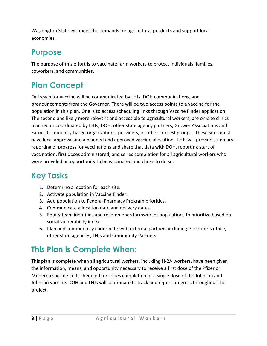Washington State will meet the demands for agricultural products and support local economies.

### <span id="page-6-0"></span>**Purpose**

The purpose of this effort is to vaccinate farm workers to protect individuals, families, coworkers, and communities.

# <span id="page-6-1"></span>**Plan Concept**

Outreach for vaccine will be communicated by LHJs, DOH communications, and pronouncements from the Governor. There will be two access points to a vaccine for the population in this plan. One is to access scheduling links through Vaccine Finder application. The second and likely more relevant and accessible to agricultural workers, are on-site clinics planned or coordinated by LHJs, DOH, other state agency partners, Grower Associations and Farms, Community-based organizations, providers, or other interest groups. These sites must have local approval and a planned and approved vaccine allocation. LHJs will provide summary reporting of progress for vaccinations and share that data with DOH, reporting start of vaccination, first doses administered, and series completion for all agricultural workers who were provided an opportunity to be vaccinated and chose to do so.

## <span id="page-6-2"></span>**Key Tasks**

- 1. Determine allocation for each site.
- 2. Activate population in Vaccine Finder.
- 3. Add population to Federal Pharmacy Program priorities.
- 4. Communicate allocation date and delivery dates.
- 5. Equity team identifies and recommends farmworker populations to prioritize based on social vulnerability index.
- 6. Plan and continuously coordinate with external partners including Governor's office, other state agencies, LHJs and Community Partners.

## <span id="page-6-3"></span>**This Plan is Complete When:**

<span id="page-6-4"></span>This plan is complete when all agricultural workers, including H-2A workers, have been given the information, means, and opportunity necessary to receive a first dose of the Pfizer or Moderna vaccine and scheduled for series completion or a single dose of the Johnson and Johnson vaccine. DOH and LHJs will coordinate to track and report progress throughout the project.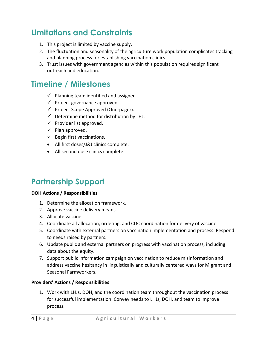### **Limitations and Constraints**

- 1. This project is limited by vaccine supply.
- 2. The fluctuation and seasonality of the agriculture work population complicates tracking and planning process for establishing vaccination clinics.
- 3. Trust issues with government agencies within this population requires significant outreach and education.

### <span id="page-7-0"></span>**Timeline / Milestones**

- $\checkmark$  Planning team identified and assigned.
- $\checkmark$  Project governance approved.
- ✓ Project Scope Approved (One-pager).
- $\checkmark$  Determine method for distribution by LHJ.
- $\checkmark$  Provider list approved.
- $\checkmark$  Plan approved.
- $\checkmark$  Begin first vaccinations.
- All first doses/J&J clinics complete.
- All second dose clinics complete.

### <span id="page-7-1"></span>**Partnership Support**

#### **DOH Actions / Responsibilities**

- 1. Determine the allocation framework.
- 2. Approve vaccine delivery means.
- 3. Allocate vaccine.
- 4. Coordinate all allocation, ordering, and CDC coordination for delivery of vaccine.
- 5. Coordinate with external partners on vaccination implementation and process. Respond to needs raised by partners.
- 6. Update public and external partners on progress with vaccination process, including data about the equity.
- 7. Support public information campaign on vaccination to reduce misinformation and address vaccine hesitancy in linguistically and culturally centered ways for Migrant and Seasonal Farmworkers.

#### **Providers' Actions / Responsibilities**

1. Work with LHJs, DOH, and the coordination team throughout the vaccination process for successful implementation. Convey needs to LHJs, DOH, and team to improve process.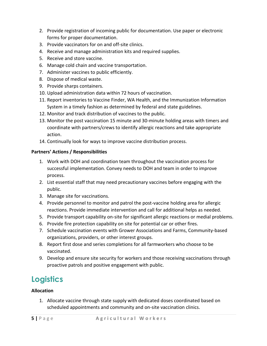- 2. Provide registration of incoming public for documentation. Use paper or electronic forms for proper documentation.
- 3. Provide vaccinators for on and off-site clinics.
- 4. Receive and manage administration kits and required supplies.
- 5. Receive and store vaccine.
- 6. Manage cold chain and vaccine transportation.
- 7. Administer vaccines to public efficiently.
- 8. Dispose of medical waste.
- 9. Provide sharps containers.
- 10. Upload administration data within 72 hours of vaccination.
- 11. Report inventories to Vaccine Finder, WA Health, and the Immunization Information System in a timely fashion as determined by federal and state guidelines.
- 12. Monitor and track distribution of vaccines to the public.
- 13. Monitor the post vaccination 15 minute and 30-minute holding areas with timers and coordinate with partners/crews to identify allergic reactions and take appropriate action.
- 14. Continually look for ways to improve vaccine distribution process.

#### **Partners' Actions / Responsibilities**

- 1. Work with DOH and coordination team throughout the vaccination process for successful implementation. Convey needs to DOH and team in order to improve process.
- 2. List essential staff that may need precautionary vaccines before engaging with the public.
- 3. Manage site for vaccinations.
- 4. Provide personnel to monitor and patrol the post-vaccine holding area for allergic reactions. Provide immediate intervention and call for additional helps as needed.
- 5. Provide transport capability on-site for significant allergic reactions or medial problems.
- 6. Provide fire protection capability on site for potential car or other fires.
- 7. Schedule vaccination events with Grower Associations and Farms, Community-based organizations, providers, or other interest groups.
- 8. Report first dose and series completions for all farmworkers who choose to be vaccinated.
- 9. Develop and ensure site security for workers and those receiving vaccinations through proactive patrols and positive engagement with public.

# <span id="page-8-0"></span>**Logistics**

#### **Allocation**

1. Allocate vaccine through state supply with dedicated doses coordinated based on scheduled appointments and community and on-site vaccination clinics.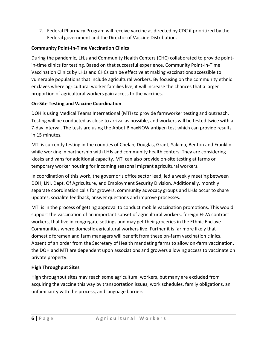2. Federal Pharmacy Program will receive vaccine as directed by CDC if prioritized by the Federal government and the Director of Vaccine Distribution.

#### **Community Point-In-Time Vaccination Clinics**

During the pandemic, LHJs and Community Health Centers (CHC) collaborated to provide pointin-time clinics for testing. Based on that successful experience, Community Point-In-Time Vaccination Clinics by LHJs and CHCs can be effective at making vaccinations accessible to vulnerable populations that include agricultural workers. By focusing on the community ethnic enclaves where agricultural worker families live, it will increase the chances that a larger proportion of agricultural workers gain access to the vaccines.

#### **On-Site Testing and Vaccine Coordination**

DOH is using Medical Teams International (MTI) to provide farmworker testing and outreach. Testing will be conducted as close to arrival as possible, and workers will be tested twice with a 7-day interval. The tests are using the Abbot BinaxNOW antigen test which can provide results in 15 minutes.

MTI is currently testing in the counties of Chelan, Douglas, Grant, Yakima, Benton and Franklin while working in partnership with LHJs and community health centers. They are considering kiosks and vans for additional capacity. MTI can also provide on-site testing at farms or temporary worker housing for incoming seasonal migrant agricultural workers.

In coordination of this work, the governor's office sector lead, led a weekly meeting between DOH, LNI, Dept. Of Agriculture, and Employment Security Division. Additionally, monthly separate coordination calls for growers, community advocacy groups and LHJs occur to share updates, socialite feedback, answer questions and improve processes.

MTI is in the process of getting approval to conduct mobile vaccination promotions. This would support the vaccination of an important subset of agricultural workers, foreign H-2A contract workers, that live in congregate settings and may get their groceries in the Ethnic Enclave Communities where domestic agricultural workers live. Further it is far more likely that domestic foremen and farm managers will benefit from these on-farm vaccination clinics. Absent of an order from the Secretary of Health mandating farms to allow on-farm vaccination, the DOH and MTI are dependent upon associations and growers allowing access to vaccinate on private property.

#### **High Throughput Sites**

High throughput sites may reach some agricultural workers, but many are excluded from acquiring the vaccine this way by transportation issues, work schedules, family obligations, an unfamiliarity with the process, and language barriers.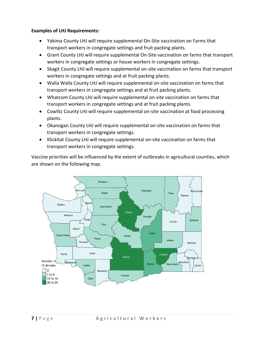#### **Examples of LHJ Requirements:**

- Yakima County LHJ will require supplemental On-Site vaccination on Farms that transport workers in congregate settings and fruit packing plants.
- Grant County LHJ will require supplemental On-Site vaccination on farms that transport workers in congregate settings or house workers in congregate settings.
- Skagit County LHJ will require supplemental on-site vaccination on farms that transport workers in congregate settings and at fruit packing plants.
- Walla Walla County LHJ will require supplemental on-site vaccination on farms that transport workers in congregate settings and at fruit packing plants.
- Whatcom County LHJ will require supplemental on-site vaccination on farms that transport workers in congregate settings and at fruit packing plants.
- Cowlitz County LHJ will require supplemental on-site vaccination at food processing plants.
- Okanogan County LHJ will require supplemental on-site vaccination on farms that transport workers in congregate settings.
- Klickitat County LHJ will require supplemental on-site vaccination on farms that transport workers in congregate settings.

Vaccine priorities will be influenced by the extent of outbreaks in agricultural counties, which are shown on the following map.

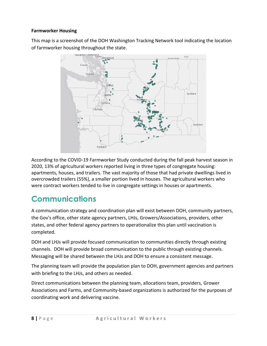#### **Farmworker Housing**

This map is a screenshot of the DOH Washington Tracking Network tool indicating the location



According to the COVID-19 Farmworker Study conducted during the fall peak harvest season in 2020, 13% of agricultural workers reported living in three types of congregate housing: apartments, houses, and trailers. The vast majority of those that had private dwellings lived in overcrowded trailers (55%), a smaller portion lived in houses. The agricultural workers who were contract workers tended to live in congregate settings in houses or apartments.

# <span id="page-11-0"></span>**Communications**

A communication strategy and coordination plan will exist between DOH, community partners, the Gov's office, other state agency partners, LHJs, Growers/Associations, providers, other states, and other federal agency partners to operationalize this plan until vaccination is completed.

DOH and LHJs will provide focused communication to communities directly through existing channels. DOH will provide broad communication to the public through existing channels. Messaging will be shared between the LHJs and DOH to ensure a consistent message.

The planning team will provide the population plan to DOH, government agencies and partners with briefing to the LHJs, and others as needed.

Direct communications between the planning team, allocations team, providers, Grower Associations and Farms, and Community-based organizations is authorized for the purposes of coordinating work and delivering vaccine.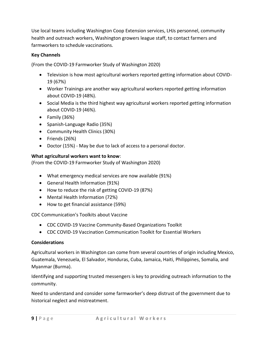Use local teams including Washington Coop Extension services, LHJs personnel, community health and outreach workers, Washington growers league staff, to contact farmers and farmworkers to schedule vaccinations.

#### **Key Channels**

(From the COVID-19 Farmworker Study of Washington 2020)

- Television is how most agricultural workers reported getting information about COVID-19 (67%)
- Worker Trainings are another way agricultural workers reported getting information about COVID-19 (48%).
- Social Media is the third highest way agricultural workers reported getting information about COVID-19 (46%).
- Family (36%)
- Spanish-Language Radio (35%)
- Community Health Clinics (30%)
- Friends (26%)
- Doctor (15%) May be due to lack of access to a personal doctor.

#### **What agricultural workers want to know**:

(From the COVID-19 Farmworker Study of Washington 2020)

- What emergency medical services are now available (91%)
- General Health Information (91%)
- How to reduce the risk of getting COVID-19 (87%)
- Mental Health Information (72%)
- How to get financial assistance (59%)

CDC Communication's Toolkits about Vaccine

- CDC COVID-19 Vaccine Community-Based Organizations Toolkit
- CDC COVID-19 Vaccination Communication Toolkit for Essential Workers

#### **Considerations**

Agricultural workers in Washington can come from several countries of origin including Mexico, Guatemala, Venezuela, El Salvador, Honduras, Cuba, Jamaica, Haiti, Philippines, Somalia, and Myanmar (Burma).

Identifying and supporting trusted messengers is key to providing outreach information to the community.

Need to understand and consider some farmworker's deep distrust of the government due to historical neglect and mistreatment.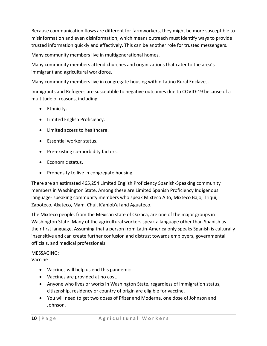Because communication flows are different for farmworkers, they might be more susceptible to misinformation and even disinformation, which means outreach must identify ways to provide trusted information quickly and effectively. This can be another role for trusted messengers.

Many community members live in multigenerational homes.

Many community members attend churches and organizations that cater to the area's immigrant and agricultural workforce.

Many community members live in congregate housing within Latino Rural Enclaves.

Immigrants and Refugees are susceptible to negative outcomes due to COVID-19 because of a multitude of reasons, including:

- Ethnicity.
- Limited English Proficiency.
- Limited access to healthcare.
- Essential worker status.
- Pre-existing co-morbidity factors.
- Economic status.
- Propensity to live in congregate housing.

There are an estimated 465,254 Limited English Proficiency Spanish-Speaking community members in Washington State. Among these are Limited Spanish Proficiency Indigenous language- speaking community members who speak Mixteco Alto, Mixteco Bajo, Triqui, Zapoteco, Akateco, Mam, Chuj, K'anjob'al and Aguateco.

The Mixteco people, from the Mexican state of Oaxaca, are one of the major groups in Washington State. Many of the agricultural workers speak a language other than Spanish as their first language. Assuming that a person from Latin-America only speaks Spanish is culturally insensitive and can create further confusion and distrust towards employers, governmental officials, and medical professionals.

### MESSAGING:

Vaccine

- Vaccines will help us end this pandemic
- Vaccines are provided at no cost.
- Anyone who lives or works in Washington State, regardless of immigration status, citizenship, residency or country of origin are eligible for vaccine.
- You will need to get two doses of Pfizer and Moderna, one dose of Johnson and Johnson.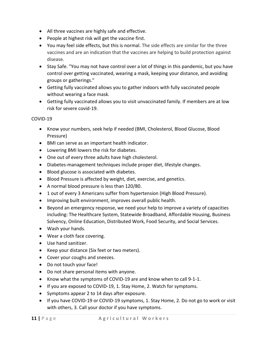- All three vaccines are highly safe and effective.
- People at highest risk will get the vaccine first.
- You may feel side effects, but this is normal. The side effects are similar for the three vaccines and are an indication that the vaccines are helping to build protection against disease.
- Stay Safe. "You may not have control over a lot of things in this pandemic, but you have control over getting vaccinated, wearing a mask, keeping your distance, and avoiding groups or gatherings."
- Getting fully vaccinated allows you to gather indoors with fully vaccinated people without wearing a face mask.
- Getting fully vaccinated allows you to visit unvaccinated family. If members are at low risk for severe covid-19.

#### COVID-19

- Know your numbers, seek help if needed (BMI, Cholesterol, Blood Glucose, Blood Pressure)
- BMI can serve as an important health indicator.
- Lowering BMI lowers the risk for diabetes.
- One out of every three adults have high cholesterol.
- Diabetes-management techniques include proper diet, lifestyle changes.
- Blood glucose is associated with diabetes.
- Blood Pressure is affected by weight, diet, exercise, and genetics.
- A normal blood pressure is less than 120/80.
- 1 out of every 3 Americans suffer from hypertension (High Blood Pressure).
- Improving built environment, improves overall public health.
- Beyond an emergency response, we need your help to improve a variety of capacities including: The Healthcare System, Statewide Broadband, Affordable Housing, Business Solvency, Online Education, Distributed Work, Food Security, and Social Services.
- Wash your hands.
- Wear a cloth face covering.
- Use hand sanitizer.
- Keep your distance (Six feet or two meters).
- Cover your coughs and sneezes.
- Do not touch your face!
- Do not share personal items with anyone.
- Know what the symptoms of COVID-19 are and know when to call 9-1-1.
- If you are exposed to COVID-19, 1. Stay Home, 2. Watch for symptoms.
- Symptoms appear 2 to 14 days after exposure.
- If you have COVID-19 or COVID-19 symptoms, 1. Stay Home, 2. Do not go to work or visit with others, 3. Call your doctor if you have symptoms.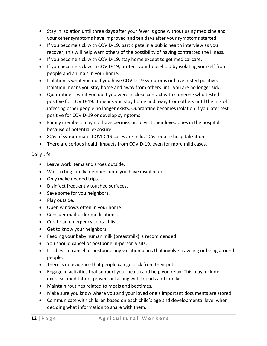- Stay in isolation until three days after your fever is gone without using medicine and your other symptoms have improved and ten days after your symptoms started.
- If you become sick with COVID-19, participate in a public health interview as you recover, this will help warn others of the possibility of having contracted the illness.
- If you become sick with COVID-19, stay home except to get medical care.
- If you become sick with COVID-19, protect your household by isolating yourself from people and animals in your home.
- Isolation is what you do if you have COVID-19 symptoms or have tested positive. Isolation means you stay home and away from others until you are no longer sick.
- Quarantine is what you do if you were in close contact with someone who tested positive for COVID-19. It means you stay home and away from others until the risk of infecting other people no longer exists. Quarantine becomes isolation if you later test positive for COVID-19 or develop symptoms.
- Family members may not have permission to visit their loved ones in the hospital because of potential exposure.
- 80% of symptomatic COVID-19 cases are mild, 20% require hospitalization.
- There are serious health impacts from COVID-19, even for more mild cases.

#### Daily Life

- Leave work items and shoes outside.
- Wait to hug family members until you have disinfected.
- Only make needed trips.
- Disinfect frequently touched surfaces.
- Save some for you neighbors.
- Play outside.
- Open windows often in your home.
- Consider mail-order medications.
- Create an emergency contact list.
- Get to know your neighbors.
- Feeding your baby human milk (breastmilk) is recommended.
- You should cancel or postpone in-person visits.
- It is best to cancel or postpone any vacation plans that involve traveling or being around people.
- There is no evidence that people can get sick from their pets.
- Engage in activities that support your health and help you relax. This may include exercise, meditation, prayer, or talking with friends and family.
- Maintain routines related to meals and bedtimes.
- Make sure you know where you and your loved one's important documents are stored.
- Communicate with children based on each child's age and developmental level when deciding what information to share with them.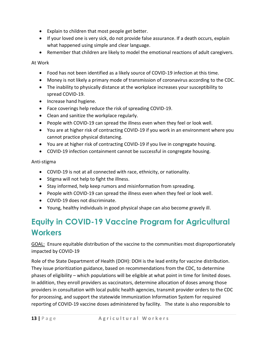- Explain to children that most people get better.
- If your loved one is very sick, do not provide false assurance. If a death occurs, explain what happened using simple and clear language.
- Remember that children are likely to model the emotional reactions of adult caregivers.

At Work

- Food has not been identified as a likely source of COVID-19 infection at this time.
- Money is not likely a primary mode of transmission of coronavirus according to the CDC.
- The inability to physically distance at the workplace increases your susceptibility to spread COVID-19.
- Increase hand hygiene.
- Face coverings help reduce the risk of spreading COVID-19.
- Clean and sanitize the workplace regularly.
- People with COVID-19 can spread the illness even when they feel or look well.
- You are at higher risk of contracting COVID-19 if you work in an environment where you cannot practice physical distancing.
- You are at higher risk of contracting COVID-19 if you live in congregate housing.
- COVID-19 infection containment cannot be successful in congregate housing.

Anti-stigma

- COVID-19 is not at all connected with race, ethnicity, or nationality.
- Stigma will not help to fight the illness.
- Stay informed, help keep rumors and misinformation from spreading.
- People with COVID-19 can spread the illness even when they feel or look well.
- COVID-19 does not discriminate.
- Young, healthy individuals in good physical shape can also become gravely ill.

# <span id="page-16-0"></span>**Equity in COVID-19 Vaccine Program for Agricultural Workers**

GOAL: Ensure equitable distribution of the vaccine to the communities most disproportionately impacted by COVID-19

Role of the State Department of Health (DOH): DOH is the lead entity for vaccine distribution. They issue prioritization guidance, based on recommendations from the CDC, to determine phases of eligibility – which populations will be eligible at what point in time for limited doses. In addition, they enroll providers as vaccinators, determine allocation of doses among those providers in consultation with local public health agencies, transmit provider orders to the CDC for processing, and support the statewide Immunization Information System for required reporting of COVID-19 vaccine doses administered by facility. The state is also responsible to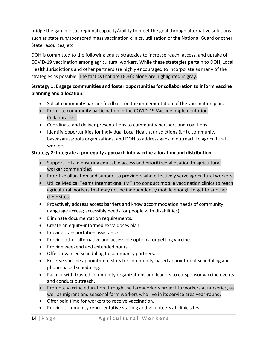bridge the gap in local, regional capacity/ability to meet the goal through alternative solutions such as state run/sponsored mass vaccination clinics, utilization of the National Guard or other State resources, etc.

DOH is committed to the following equity strategies to increase reach, access, and uptake of COVID-19 vaccination among agricultural workers. While these strategies pertain to DOH, Local Health Jurisdictions and other partners are highly encouraged to incorporate as many of the strategies as possible. The tactics that are DOH's alone are highlighted in gray.

#### **Strategy 1: Engage communities and foster opportunities for collaboration to inform vaccine planning and allocation.**

- Solicit community partner feedback on the implementation of the vaccination plan.
- Promote community participation in the COVID-19 Vaccine Implementation Collaborative.
- Coordinate and deliver presentations to community partners and coalitions.
- Identify opportunities for individual Local Health Jurisdictions (LHJ), community based/grassroots organizations, and DOH to address gaps in outreach to agricultural workers.

#### **Strategy 2: Integrate a pro-equity approach into vaccine allocation and distribution**.

- Support LHJs in ensuring equitable access and prioritized allocation to agricultural worker communities.
- Prioritize allocation and support to providers who effectively serve agricultural workers.
- Utilize Medical Teams International (MTI) to conduct mobile vaccination clinics to reach agricultural workers that may not be independently mobile enough to get to another clinic sites.
- Proactively address access barriers and know accommodation needs of community (language access; accessibly needs for people with disabilities)
- Eliminate documentation requirements.
- Create an equity-informed extra doses plan.
- Provide transportation assistance.
- Provide other alternative and accessible options for getting vaccine.
- Provide weekend and extended hours.
- Offer advanced scheduling to community partners.
- Reserve vaccine appointment slots for community-based appointment scheduling and phone-based scheduling.
- Partner with trusted community organizations and leaders to co-sponsor vaccine events and conduct outreach.
- Promote vaccine education through the farmworkers project to workers at nurseries, as well as migrant and seasonal farm workers who live in its service area year-round.
- Offer paid time for workers to receive vaccination.
- Provide community representative staffing and volunteers at clinic sites.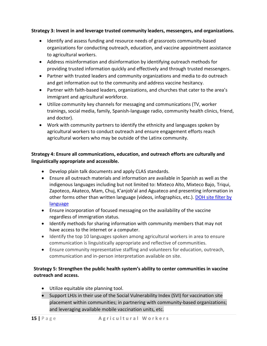#### **Strategy 3: Invest in and leverage trusted community leaders, messengers, and organizations.**

- Identify and assess funding and resource needs of grassroots community-based organizations for conducting outreach, education, and vaccine appointment assistance to agricultural workers.
- Address misinformation and disinformation by identifying outreach methods for providing trusted information quickly and effectively and through trusted messengers.
- Partner with trusted leaders and community organizations and media to do outreach and get information out to the community and address vaccine hesitancy.
- Partner with faith-based leaders, organizations, and churches that cater to the area's immigrant and agricultural workforce.
- Utilize community key channels for messaging and communications (TV, worker trainings, social media, family, Spanish-language radio, community health clinics, friend, and doctor).
- Work with community partners to identify the ethnicity and languages spoken by agricultural workers to conduct outreach and ensure engagement efforts reach agricultural workers who may be outside of the Latinx community.

#### **Strategy 4: Ensure all communications, education, and outreach efforts are culturally and linguistically appropriate and accessible.**

- Develop plain talk documents and apply CLAS standards.
- Ensure all outreach materials and information are available in Spanish as well as the indigenous languages including but not limited to: Mixteco Alto, Mixteco Bajo, Triqui, Zapoteco, Akateco, Mam, Chuj, K'anjob'al and Aguateco and presenting information in other forms other than written language (videos, infographics, etc.). [DOH site filter by](https://www.doh.wa.gov/Emergencies/COVID19/ResourcesandRecommendations#tracing)  [language](https://www.doh.wa.gov/Emergencies/COVID19/ResourcesandRecommendations#tracing)
- Ensure incorporation of focused messaging on the availability of the vaccine regardless of immigration status.
- Identify methods for sharing information with community members that may not have access to the internet or a computer.
- Identify the top 10 languages spoken among agricultural workers in area to ensure communication is linguistically appropriate and reflective of communities.
- Ensure community representative staffing and volunteers for education, outreach, communication and in-person interpretation available on site.

#### **Strategy 5: Strengthen the public health system's ability to center communities in vaccine outreach and access.**

- Utilize equitable site planning tool.
- Support LHJs in their use of the Social Vulnerability Index (SVI) for vaccination site placement within communities; in partnering with community-based organizations; and leveraging available mobile vaccination units, etc.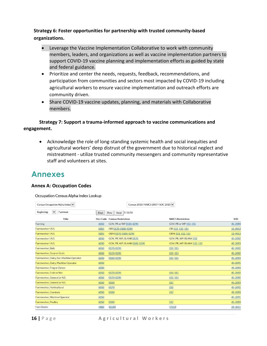**Strategy 6: Foster opportunities for partnership with trusted community-based organizations.**

- Leverage the Vaccine Implementation Collaborative to work with community members, leaders, and organizations as well as vaccine implementation partners to support COVID-19 vaccine planning and implementation efforts as guided by state and federal guidance.
- Prioritize and center the needs, requests, feedback, recommendations, and participation from communities and sectors most impacted by COVID-19 including agricultural workers to ensure vaccine implementation and outreach efforts are community driven.
- Share COVID-19 vaccine updates, planning, and materials with Collaborative members.

#### **Strategy 7: Support a trauma-informed approach to vaccine communications and engagement.**

• Acknowledge the role of long-standing systemic health and social inequities and agricultural workers' deep distrust of the government due to historical neglect and mistreatment - utilize trusted community messengers and community representative staff and volunteers at sites.

### **Annexes**

#### **Annex A: Occupation Codes**

#### Occupation Census Alpha Index Lookup

| Beginning:<br>$\checkmark$<br>Farmwor<br>Next 1-16/16<br><b>Find</b><br>Prev<br>Title<br><b>NAICS Restriction</b><br>Occ Code Census Restriction<br>GOV, PR or WP 112, 115<br>Farming<br>6050<br>GOV, PR or WP 0180, 0290 | SOC<br>45-2093<br>11-9013<br>11-9013 |
|---------------------------------------------------------------------------------------------------------------------------------------------------------------------------------------------------------------------------|--------------------------------------|
|                                                                                                                                                                                                                           |                                      |
|                                                                                                                                                                                                                           |                                      |
|                                                                                                                                                                                                                           |                                      |
| Farmworker \ N.S.<br>0205<br>OBI 0170, 0180, 0290<br>OBI 111, 112, 115                                                                                                                                                    |                                      |
| Farmworker \ N.S.<br>0205<br>OBNI 0170, 0180, 0290<br>OBNI 111, 112, 115                                                                                                                                                  |                                      |
| Farmworker \ N.S.<br>6050<br>GOV, PR. WP. BLANK 0170<br>GOV. PR. WP. BLANK 111                                                                                                                                            | 45-2092                              |
| Farmworker \ N.S.<br>6050<br>GOV, PR, WP, BLANK 0180, 0290<br>GOV, PR, WP, BLANK 112, 115                                                                                                                                 | 45-2093                              |
| 6050<br>0170,0290<br>111, 115<br>Farmworker, Bulb                                                                                                                                                                         | 45-2092                              |
| Farmworker, Crop or Grain<br>6050<br>0170,0290<br>111, 115                                                                                                                                                                | 45-2092                              |
| Farmworker, Dairy, Exc. Machine Operator<br>6050<br>0180,0290<br>112, 115                                                                                                                                                 | 45-2093                              |
| Farmworker, Dairy, Machine Operator<br>6050                                                                                                                                                                               | 45-2091                              |
| Farmworker, Frog or Oyster<br>6050                                                                                                                                                                                        | 45-2093                              |
| Farmworker, Fruit or Nut<br>0170,0290<br>111, 115<br>6050                                                                                                                                                                 | 45-2092                              |
| Farmworker, General or N.S.<br>6050<br>0170,0290<br>111, 115                                                                                                                                                              | 45-2092                              |
| Farmworker, General or N.S.<br>6050<br>0180<br>112                                                                                                                                                                        | 45-2093                              |
| Farmworker, Horticultural<br>6050<br>0170<br>111                                                                                                                                                                          | 45-2092                              |
| Farmworker, Livestock<br>6050<br>0180<br>112                                                                                                                                                                              | 45-2093                              |
| Farmworker, Machine Operator<br>6050                                                                                                                                                                                      | 45-2091                              |
| Farmworker, Poultry<br>6050<br>0180<br>112                                                                                                                                                                                | 45-2093                              |
| Faro Dealer<br>4400<br>(8590)<br>(7132)                                                                                                                                                                                   | 39-3011                              |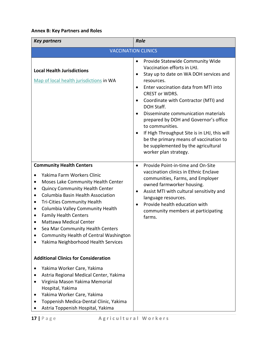### **Annex B: Key Partners and Roles**

| <b>Key partners</b>                                                                                                                                                                                                                                                                                                                                                                                                                                                         | <b>Role</b>                                                                                                                                                                                                                                                                                                                                                                                                                                                                                                                                                          |  |  |  |  |  |
|-----------------------------------------------------------------------------------------------------------------------------------------------------------------------------------------------------------------------------------------------------------------------------------------------------------------------------------------------------------------------------------------------------------------------------------------------------------------------------|----------------------------------------------------------------------------------------------------------------------------------------------------------------------------------------------------------------------------------------------------------------------------------------------------------------------------------------------------------------------------------------------------------------------------------------------------------------------------------------------------------------------------------------------------------------------|--|--|--|--|--|
|                                                                                                                                                                                                                                                                                                                                                                                                                                                                             | <b>VACCINATION CLINICS</b>                                                                                                                                                                                                                                                                                                                                                                                                                                                                                                                                           |  |  |  |  |  |
| <b>Local Health Jurisdictions</b><br>Map of local health jurisdictions in WA                                                                                                                                                                                                                                                                                                                                                                                                | Provide Statewide Community Wide<br>٠<br>Vaccination efforts in LHJ.<br>Stay up to date on WA DOH services and<br>$\bullet$<br>resources.<br>Enter vaccination data from MTI into<br>$\bullet$<br><b>CREST or WDRS.</b><br>Coordinate with Contractor (MTI) and<br>$\bullet$<br>DOH Staff.<br>Disseminate communication materials<br>$\bullet$<br>prepared by DOH and Governor's office<br>to communities.<br>If High Throughput Site is in LHJ, this will<br>be the primary means of vaccination to<br>be supplemented by the agricultural<br>worker plan strategy. |  |  |  |  |  |
| <b>Community Health Centers</b><br>Yakima Farm Workers Clinic<br>Moses Lake Community Health Center<br><b>Quincy Community Health Center</b><br>Columbia Basin Health Association<br><b>Tri-Cities Community Health</b><br>Columbia Valley Community Health<br>$\bullet$<br><b>Family Health Centers</b><br>$\bullet$<br><b>Mattawa Medical Center</b><br>Sea Mar Community Health Centers<br>Community Health of Central Washington<br>Yakima Neighborhood Health Services | Provide Point-in-time and On-Site<br>$\bullet$<br>vaccination clinics in Ethnic Enclave<br>communities, Farms, and Employer<br>owned farmworker housing.<br>Assist MTI with cultural sensitivity and<br>٠<br>language resources.<br>Provide health education with<br>$\bullet$<br>community members at participating<br>farms.                                                                                                                                                                                                                                       |  |  |  |  |  |
| <b>Additional Clinics for Consideration</b>                                                                                                                                                                                                                                                                                                                                                                                                                                 |                                                                                                                                                                                                                                                                                                                                                                                                                                                                                                                                                                      |  |  |  |  |  |
| Yakima Worker Care, Yakima<br>Astria Regional Medical Center, Yakima<br>Virginia Mason Yakima Memorial<br>Hospital, Yakima<br>Yakima Worker Care, Yakima<br>Toppenish Medica-Dental Clinic, Yakima<br>Astria Toppenish Hospital, Yakima                                                                                                                                                                                                                                     |                                                                                                                                                                                                                                                                                                                                                                                                                                                                                                                                                                      |  |  |  |  |  |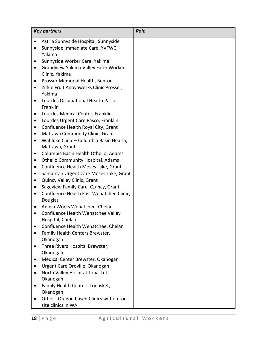| Astria Sunnyside Hospital, Sunnyside<br>$\bullet$<br>Sunnyside Immediate Care, YVFWC,<br>$\bullet$<br>Yakima |  |
|--------------------------------------------------------------------------------------------------------------|--|
|                                                                                                              |  |
| Sunnyside Worker Care, Yakima<br>٠                                                                           |  |
| Grandview Yakima Valley Farm Workers<br>٠                                                                    |  |
| Clinic, Yakima                                                                                               |  |
| Prosser Memorial Health, Benton<br>$\bullet$<br>Zirkle Fruit Anovaworks Clinic Prosser,<br>٠                 |  |
| Yakima                                                                                                       |  |
| Lourdes Occupational Health Pasco,<br>$\bullet$<br>Franklin                                                  |  |
| Lourdes Medical Center, Franklin<br>٠                                                                        |  |
| Lourdes Urgent Care Pasco, Franklin<br>$\bullet$                                                             |  |
| Confluence Health Royal City, Grant<br>٠                                                                     |  |
| Mattawa Community Clinic, Grant<br>$\bullet$                                                                 |  |
| Wahluke Clinic - Columbia Basin Health,<br>$\bullet$                                                         |  |
| Mattawa, Grant                                                                                               |  |
| Columbia Basin Health Othello, Adams<br>$\bullet$                                                            |  |
| Othello Community Hospital, Adams<br>$\bullet$                                                               |  |
| Confluence Health Moses Lake, Grant<br>$\bullet$                                                             |  |
| Samaritan Urgent Care Moses Lake, Grant<br>$\bullet$<br>Quincy Valley Clinic, Grant<br>$\bullet$             |  |
| Sageview Family Care, Quincy, Grant                                                                          |  |
| Confluence Health East Wenatchee Clinic,<br>$\bullet$                                                        |  |
| Douglas                                                                                                      |  |
| Anova Works Wenatchee, Chelan                                                                                |  |
| Confluence Health Wenatchee Valley                                                                           |  |
| Hospital, Chelan                                                                                             |  |
| Confluence Health Wenatchee, Chelan                                                                          |  |
| Family Health Centers Brewster,                                                                              |  |
| Okanogan                                                                                                     |  |
| Three Rivers Hospital Brewster,                                                                              |  |
| Okanogan                                                                                                     |  |
| Medical Center Brewster, Okanogan                                                                            |  |
| Urgent Care Oroville, Okanogan                                                                               |  |
| North Valley Hospital Tonasket,                                                                              |  |
| Okanogan<br>Family Health Centers Tonasket,                                                                  |  |
| Okanogan                                                                                                     |  |
| Other: Oregon based Clinics without on-                                                                      |  |
| site clinics in WA                                                                                           |  |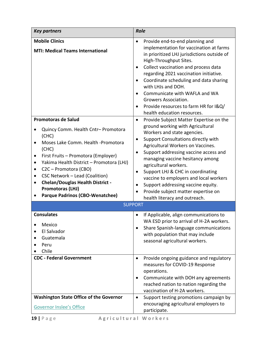| <b>Key partners</b>                                                                                                                                                                                                                                                                                                                                                                                                          | <b>Role</b>                                                                                                                                                                                                                                                                                                                                                                                                                                                                                                                                                             |  |  |  |  |  |
|------------------------------------------------------------------------------------------------------------------------------------------------------------------------------------------------------------------------------------------------------------------------------------------------------------------------------------------------------------------------------------------------------------------------------|-------------------------------------------------------------------------------------------------------------------------------------------------------------------------------------------------------------------------------------------------------------------------------------------------------------------------------------------------------------------------------------------------------------------------------------------------------------------------------------------------------------------------------------------------------------------------|--|--|--|--|--|
| <b>Mobile Clinics</b><br><b>MTI: Medical Teams International</b>                                                                                                                                                                                                                                                                                                                                                             | Provide end-to-end planning and<br>$\bullet$<br>implementation for vaccination at farms<br>in prioritized LHJ jurisdictions outside of<br>High-Throughput Sites.<br>Collect vaccination and process data<br>$\bullet$<br>regarding 2021 vaccination initiative.<br>Coordinate scheduling and data sharing<br>$\bullet$<br>with LHJs and DOH.<br>Communicate with WAFLA and WA<br>$\bullet$<br>Growers Association.<br>Provide resources to farm HR for I&Q/<br>$\bullet$<br>health education resources.                                                                 |  |  |  |  |  |
| <b>Promotoras de Salud</b><br>Quincy Comm. Health Cntr- Promotora<br>(CHC)<br>Moses Lake Comm. Health -Promotora<br>$\bullet$<br>(CHC)<br>First Fruits - Promotora (Employer)<br>Yakima Health District - Promotora (LHJ)<br>$\bullet$<br>C2C - Promotora (CBO)<br>CSC Network - Lead (Coalition)<br>٠<br><b>Chelan/Douglas Health District -</b><br>$\bullet$<br>Promotoras (LHJ)<br><b>Parque Padrinos (CBO-Wenatchee)</b> | Provide Subject Matter Expertise on the<br>$\bullet$<br>ground working with Agricultural<br>Workers and state agencies.<br>Support Consultations directly with<br>$\bullet$<br>Agricultural Workers on Vaccines.<br>Support addressing vaccine access and<br>$\bullet$<br>managing vaccine hesitancy among<br>agricultural workers.<br>Support LHJ & CHC in coordinating<br>$\bullet$<br>vaccine to employers and local workers<br>Support addressing vaccine equity.<br>$\bullet$<br>Provide subject matter expertise on<br>$\bullet$<br>health literacy and outreach. |  |  |  |  |  |
| <b>SUPPORT</b>                                                                                                                                                                                                                                                                                                                                                                                                               |                                                                                                                                                                                                                                                                                                                                                                                                                                                                                                                                                                         |  |  |  |  |  |
| <b>Consulates</b><br>Mexico<br>El Salvador<br>Guatemala<br>Peru<br>Chile                                                                                                                                                                                                                                                                                                                                                     | If Applicable, align communications to<br>WA ESD prior to arrival of H-2A workers.<br>Share Spanish-language communications<br>$\bullet$<br>with population that may include<br>seasonal agricultural workers.                                                                                                                                                                                                                                                                                                                                                          |  |  |  |  |  |
| <b>CDC - Federal Government</b>                                                                                                                                                                                                                                                                                                                                                                                              | Provide ongoing guidance and regulatory<br>$\bullet$<br>measures for COVID-19 Response<br>operations.<br>Communicate with DOH any agreements<br>$\bullet$<br>reached nation to nation regarding the<br>vaccination of H-2A workers.                                                                                                                                                                                                                                                                                                                                     |  |  |  |  |  |
| <b>Washington State Office of the Governor</b><br><b>Governor Inslee's Office</b>                                                                                                                                                                                                                                                                                                                                            | Support testing promotions campaign by<br>$\bullet$<br>encouraging agricultural employers to<br>participate.                                                                                                                                                                                                                                                                                                                                                                                                                                                            |  |  |  |  |  |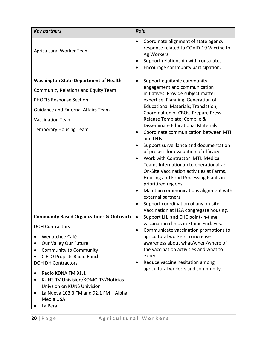| <b>Key partners</b>                                     | <b>Role</b>                                                                                                                                                                                |
|---------------------------------------------------------|--------------------------------------------------------------------------------------------------------------------------------------------------------------------------------------------|
| Agricultural Worker Team                                | Coordinate alignment of state agency<br>$\bullet$<br>response related to COVID-19 Vaccine to<br>Ag Workers.<br>Support relationship with consulates.<br>Encourage community participation. |
| <b>Washington State Department of Health</b>            | Support equitable community<br>$\bullet$                                                                                                                                                   |
| <b>Community Relations and Equity Team</b>              | engagement and communication<br>initiatives: Provide subject matter                                                                                                                        |
| <b>PHOCIS Response Section</b>                          | expertise; Planning; Generation of                                                                                                                                                         |
| <b>Guidance and External Affairs Team</b>               | <b>Educational Materials; Translation;</b><br>Coordination of CBOs; Prepare Press                                                                                                          |
| <b>Vaccination Team</b>                                 | Release Template; Compile &                                                                                                                                                                |
| <b>Temporary Housing Team</b>                           | Disseminate Educational Materials.<br>Coordinate communication between MTI<br>and LHJs.                                                                                                    |
|                                                         | Support surveillance and documentation                                                                                                                                                     |
|                                                         | of process for evaluation of efficacy.<br>Work with Contractor (MTI: Medical                                                                                                               |
|                                                         | Teams International) to operationalize                                                                                                                                                     |
|                                                         | On-Site Vaccination activities at Farms,<br>Housing and Food Processing Plants in                                                                                                          |
|                                                         | prioritized regions.                                                                                                                                                                       |
|                                                         | Maintain communications alignment with<br>$\bullet$<br>external partners.                                                                                                                  |
|                                                         | Support coordination of any on-site<br>$\bullet$                                                                                                                                           |
|                                                         | Vaccination at H2A congregate housing.                                                                                                                                                     |
| <b>Community Based Organizations &amp; Outreach</b>     | Support LHJ and CHC point-in-time<br>$\bullet$<br>vaccination clinics in Ethnic Enclaves.                                                                                                  |
| <b>DOH Contractors</b>                                  | Communicate vaccination promotions to<br>$\bullet$                                                                                                                                         |
| Wenatchee Café<br>Our Valley Our Future                 | agricultural workers to increase<br>awareness about what/when/where of                                                                                                                     |
| $\bullet$<br><b>Community to Community</b><br>$\bullet$ | the vaccination activities and what to                                                                                                                                                     |
| <b>CIELO Projects Radio Ranch</b>                       | expect.                                                                                                                                                                                    |
| <b>DOH DH Contractors</b>                               | Reduce vaccine hesitation among<br>٠                                                                                                                                                       |
| Radio KDNA FM 91.1<br>$\bullet$                         | agricultural workers and community.                                                                                                                                                        |
| KUNS-TV Univision/KOMO-TV/Noticias<br>$\bullet$         |                                                                                                                                                                                            |
| Univsion on KUNS Univision                              |                                                                                                                                                                                            |
| La Nueva 103.3 FM and 92.1 FM $-$ Alpha<br>$\bullet$    |                                                                                                                                                                                            |
| Media USA                                               |                                                                                                                                                                                            |
| La Pera                                                 |                                                                                                                                                                                            |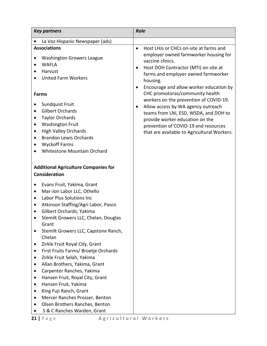| <b>Key partners</b>                                                                                                                                                                                                                                                                                                                                                                                                                                                                                                                                                                                                                                                                                                                                    | <b>Role</b>                                                                                                                                                                                                                                                                                                                                                                                                                                                                                                                                                                         |
|--------------------------------------------------------------------------------------------------------------------------------------------------------------------------------------------------------------------------------------------------------------------------------------------------------------------------------------------------------------------------------------------------------------------------------------------------------------------------------------------------------------------------------------------------------------------------------------------------------------------------------------------------------------------------------------------------------------------------------------------------------|-------------------------------------------------------------------------------------------------------------------------------------------------------------------------------------------------------------------------------------------------------------------------------------------------------------------------------------------------------------------------------------------------------------------------------------------------------------------------------------------------------------------------------------------------------------------------------------|
| La Voz Hispanic Newspaper (ads)<br>$\bullet$                                                                                                                                                                                                                                                                                                                                                                                                                                                                                                                                                                                                                                                                                                           |                                                                                                                                                                                                                                                                                                                                                                                                                                                                                                                                                                                     |
| <b>Associations</b><br><b>Washington Growers League</b><br>$\bullet$<br><b>WAFLA</b><br>$\bullet$<br>Harvust<br>٠<br><b>United Farm Workers</b><br><b>Farms</b><br>Sundquist Fruit<br>$\bullet$<br><b>Gilbert Orchards</b><br>$\bullet$<br><b>Taylor Orchards</b><br>$\bullet$<br><b>Washington Fruit</b><br>$\bullet$<br><b>High Valley Orchards</b><br>$\bullet$<br><b>Brandon Lewis Orchards</b><br>$\bullet$<br><b>Wyckoff Farms</b><br>$\bullet$<br>Whitestone Mountain Orchard                                                                                                                                                                                                                                                                   | Host LHJs or CHCs on-site at farms and<br>$\bullet$<br>employer owned farmworker housing for<br>vaccine clinics.<br>Host DOH Contractor (MTI) on-site at<br>$\bullet$<br>farms and employer owned farmworker<br>housing.<br>Encourage and allow worker education by<br>$\bullet$<br>CHC promotoras/community health<br>workers on the prevention of COVID-19.<br>Allow access by WA agency outreach<br>$\bullet$<br>teams from LNI, ESD, WSDA, and DOH to<br>provide worker education on the<br>prevention of COVID-19 and resources<br>that are available to Agricultural Workers. |
| <b>Additional Agriculture Companies for</b><br><b>Consideration</b>                                                                                                                                                                                                                                                                                                                                                                                                                                                                                                                                                                                                                                                                                    |                                                                                                                                                                                                                                                                                                                                                                                                                                                                                                                                                                                     |
| Evans Fruit, Yakima, Grant<br>Mar-Jon Labor LLC, Othello<br>$\bullet$<br>Labor Plus Solutions Inc<br>$\bullet$<br>Atkinson Staffing/Agri Labor, Pasco<br>$\bullet$<br>Gilbert Orchards; Yakima<br>$\bullet$<br>Stemilt Growers LLC, Chelan, Douglas<br>٠<br>Grant<br>Stemilt Growers LLC, Capstone Ranch,<br>Chelan<br>Zirkle Fruit Royal City, Grant<br>$\bullet$<br>First Fruits Farms/ Broetje Orchards<br>$\bullet$<br>Zirkle Fruit Selah, Yakima<br>$\bullet$<br>Allan Brothers, Yakima, Grant<br>٠<br>Carpenter Ranches, Yakima<br>٠<br>Hansen Fruit, Royal City, Grant<br>٠<br>Hansen Fruit, Yakima<br>٠<br>King Fuji Ranch, Grant<br>٠<br>Mercer Ranches Prosser, Benton<br>٠<br>Olsen Brothers Ranches, Benton<br>S & C Ranches Warden, Grant |                                                                                                                                                                                                                                                                                                                                                                                                                                                                                                                                                                                     |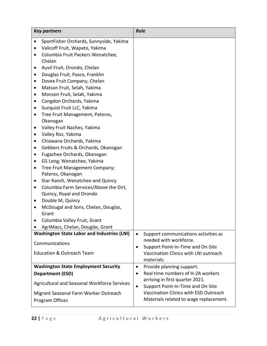| <b>Key partners</b>                                  | <b>Role</b>                                                                             |
|------------------------------------------------------|-----------------------------------------------------------------------------------------|
| SportFisher Orchards, Sunnyside, Yakima<br>$\bullet$ |                                                                                         |
| Valicoff Fruit, Wapato, Yakima<br>$\bullet$          |                                                                                         |
| Columbia Fruit Packers Wenatchee,<br>$\bullet$       |                                                                                         |
| Chelan                                               |                                                                                         |
| Auvil Fruit, Orondo, Chelan                          |                                                                                         |
| Douglas Fruit, Pasco, Franklin<br>٠                  |                                                                                         |
| Dovex Fruit Company, Chelan                          |                                                                                         |
| Matson Fruit, Selah, Yakima<br>٠                     |                                                                                         |
| Monson Fruit, Selah, Yakima<br>٠                     |                                                                                         |
| Congdon Orchards, Yakima<br>٠                        |                                                                                         |
| Sunquist Fruit LLC, Yakima<br>$\bullet$              |                                                                                         |
| Tree Fruit Management, Pateros,<br>٠                 |                                                                                         |
| Okanogan<br>Valley Fruit Naches, Yakima<br>٠         |                                                                                         |
| Valley Roz, Yakima<br>٠                              |                                                                                         |
| Chiawana Orchards, Yakima                            |                                                                                         |
| Gebbers Fruits & Orchards, Okanogan<br>$\bullet$     |                                                                                         |
| Fugachee Orchards, Okanogan                          |                                                                                         |
| GS Long; Wenatchee, Yakima<br>٠                      |                                                                                         |
| Tree Fruit Management Company;<br>$\bullet$          |                                                                                         |
| Pateros, Okanogan                                    |                                                                                         |
| Star Ranch, Wenatchee and Quincy<br>$\bullet$        |                                                                                         |
| Columbia Farm Services/Above the Dirt,<br>٠          |                                                                                         |
| Quincy, Royal and Orondo                             |                                                                                         |
| Double M, Quincy<br>٠                                |                                                                                         |
| McDougal and Sons, Chelan, Douglas,                  |                                                                                         |
| Grant                                                |                                                                                         |
| Columbia Valley Fruit, Grant                         |                                                                                         |
| AgriMacs, Chelan, Douglas, Grant                     |                                                                                         |
| <b>Washington State Labor and Industries (LNI)</b>   | Support communications activities as<br>$\bullet$                                       |
| Communications                                       | needed with workforce.                                                                  |
| <b>Education &amp; Outreach Team</b>                 | Support Point-In-Time and On-Site<br>$\bullet$<br>Vaccination Clinics with LNI outreach |
|                                                      | materials.                                                                              |
| <b>Washington State Employment Security</b>          | Provide planning support.<br>$\bullet$                                                  |
| <b>Department (ESD)</b>                              | Real time numbers of H-2A workers                                                       |
| Agricultural and Seasonal Workforce Services         | arriving in first quarter 2021.<br>Support Point-In-Time and On-Site<br>$\bullet$       |
| Migrant Seasonal Farm Worker Outreach                | Vaccination Clinics with ESD Outreach                                                   |
| Program Offices                                      | Materials related to wage replacement.                                                  |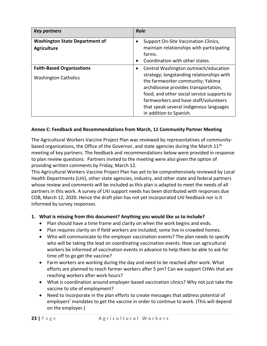| <b>Key partners</b>                   | <b>Role</b>                                        |
|---------------------------------------|----------------------------------------------------|
| <b>Washington State Department of</b> | Support On-Site Vaccination Clinics,               |
| <b>Agriculture</b>                    | maintain relationships with participating          |
|                                       | farms.                                             |
|                                       | Coordination with other states.                    |
| <b>Faith-Based Organizations</b>      | Central Washington outreach/education<br>$\bullet$ |
| <b>Washington Catholics</b>           | strategy; longstanding relationships with          |
|                                       | the farmworker community; Yakima                   |
|                                       | archdiocese provides transportation,               |
|                                       | food, and other social service supports to         |
|                                       | farmworkers and have staff/volunteers              |
|                                       | that speak several indigenous languages            |
|                                       | in addition to Spanish.                            |

#### **Annex C: Feedback and Recommendations from March, 11 Community Partner Meeting**

The Agricultural Workers Vaccine Project Plan was reviewed by representatives of communitybased organizations, the Office of the Governor, and state agencies during the March 11<sup>th</sup> meeting of key partners. The feedback and recommendations below were provided in response to plan review questions. Partners invited to the meeting were also given the option of providing written comments by Friday, March 12.

This Agricultural Workers Vaccine Project Plan has yet to be comprehensively reviewed by Local Health Departments (LHJ), other state agencies, industry, and other state and federal partners whose review and comments will be included as this plan is adapted to meet the needs of all partners in this work. A survey of LHJ support needs has been distributed with responses due COB, March 12, 2020. Hence the draft plan has not yet incorporated LHJ feedback nor is it informed by survey responses.

#### **1. What is missing from this document? Anything you would like us to include?**

- Plan should have a time frame and clarity on when the work begins and ends.
- Plan requires clarity on if field workers are included; some live in crowded homes.
- Who will communicate to the employer vaccination events? The plan needs to specify who will be taking the lead on coordinating vaccination events. How can agricultural workers be informed of vaccination events in advance to help them be able to ask for time off to go get the vaccine?
- Farm workers are working during the day and need to be reached after work. What efforts are planned to reach farmer workers after 5 pm? Can we support CHWs that are reaching workers after work hours?
- What is coordination around employer-based vaccination clinics? Why not just take the vaccine to site of employment?
- Need to incorporate in the plan efforts to create messages that address potential of employers' mandates to get the vaccine in order to continue to work. (This will depend on the employer.)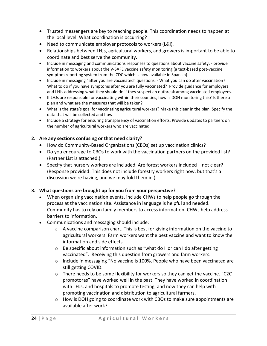- Trusted messengers are key to reaching people. This coordination needs to happen at the local level. What coordination is occurring?
- Need to communicate employer protocols to workers (L&I).
- Relationships between LHJs, agricultural workers, and growers is important to be able to coordinate and best serve the community.
- Include in messaging and communications responses to questions about vaccine safety; provide information to workers about the V-SAFE vaccine safety monitoring (a text-based post-vaccine symptom reporting system from the CDC which is now available in Spanish).
- Include in messaging "after you are vaccinated" questions. What you can do after vaccination? What to do if you have symptoms after you are fully vaccinated? Provide guidance for employers and LHJs addressing what they should do if they suspect an outbreak among vaccinated employees.
- If LHJs are responsible for vaccinating within their counties, how is DOH monitoring this? Is there a plan and what are the measures that will be taken?
- What is the state's goal for vaccinating agricultural workers? Make this clear in the plan. Specify the data that will be collected and how.
- Include a strategy for ensuring transparency of vaccination efforts. Provide updates to partners on the number of agricultural workers who are vaccinated.

#### **2. Are any sections confusing or that need clarity?**

- How do Community-Based Organizations (CBOs) set up vaccination clinics?
- Do you encourage to CBOs to work with the vaccination partners on the provided list? (Partner List is attached.)
- Specify that nursery workers are included. Are forest workers included not clear? (Response provided: This does not include forestry workers right now, but that's a discussion we're having, and we may fold them in.)

#### **3. What questions are brought up for you from your perspective?**

- When organizing vaccination events, include CHWs to help people go through the process at the vaccination site. Assistance in language is helpful and needed. Community has to rely on family members to access information. CHWs help address barriers to information.
- Communications and messaging should include:
	- $\circ$  A vaccine comparison chart. This is best for giving information on the vaccine to agricultural workers. Farm workers want the best vaccine and want to know the information and side effects.
	- o Be specific about information such as "what do I or can I do after getting vaccinated". Receiving this question from growers and farm workers.
	- o Include in messaging "No vaccine is 100%. People who have been vaccinated are still getting COVID.
	- o There needs to be some flexibility for workers so they can get the vaccine. "C2C promotoras" have worked well in the past. They have worked in coordination with LHJs, and hospitals to promote testing, and now they can help with promoting vaccination and distribution to agricultural farmers.
	- o How is DOH going to coordinate work with CBOs to make sure appointments are available after work?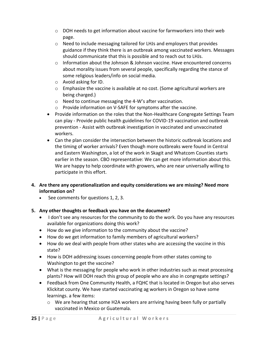- o DOH needs to get information about vaccine for farmworkers into their web page.
- o Need to include messaging tailored for LHJs and employers that provides guidance if they think there is an outbreak among vaccinated workers. Messages should communicate that this is possible and to reach out to LHJs.
- $\circ$  Information about the Johnson & Johnson vaccine. Have encountered concerns about morality issues from several people, specifically regarding the stance of some religious leaders/info on social media.
- o Avoid asking for ID.
- o Emphasize the vaccine is available at no cost. (Some agricultural workers are being charged.)
- o Need to continue messaging the 4-W's after vaccination.
- o Provide information on V-SAFE for symptoms after the vaccine.
- Provide information on the roles that the Non-Healthcare Congregate Settings Team can play - Provide public health guidelines for COVID-19 vaccination and outbreak prevention - Assist with outbreak investigation in vaccinated and unvaccinated workers.
- Can the plan consider the intersection between the historic outbreak locations and the timing of worker arrivals? Even though more outbreaks were found in Central and Eastern Washington, a lot of the work in Skagit and Whatcom Counties starts earlier in the season. CBO representative: We can get more information about this. We are happy to help coordinate with growers, who are near universally willing to participate in this effort.
- **4. Are there any operationalization and equity considerations we are missing? Need more information on?** 
	- See comments for questions 1, 2, 3.

#### **5. Any other thoughts or feedback you have on the document?**

- I don't see any resources for the community to do the work. Do you have any resources available for organizations doing this work?
- How do we give information to the community about the vaccine?
- How do we get information to family members of agricultural workers?
- How do we deal with people from other states who are accessing the vaccine in this state?
- How is DOH addressing issues concerning people from other states coming to Washington to get the vaccine?
- What is the messaging for people who work in other industries such as meat processing plants? How will DOH reach this group of people who are also in congregate settings?
- Feedback from One Community Health, a FQHC that is located in Oregon but also serves Klickitat county. We have started vaccinating ag workers in Oregon so have some learnings. a few items:
	- $\circ$  We are hearing that some H2A workers are arriving having been fully or partially vaccinated in Mexico or Guatemala.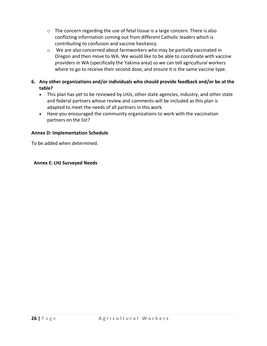- $\circ$  The concern regarding the use of fetal tissue is a large concern. There is also conflicting information coming out from different Catholic leaders which is contributing to confusion and vaccine hesitancy.
- o We are also concerned about farmworkers who may be partially vaccinated in Oregon and then move to WA. We would like to be able to coordinate with vaccine providers in WA (specifically the Yakima area) so we can tell agricultural workers where to go to receive their second dose, and ensure it is the same vaccine type.
- **6. Any other organizations and/or individuals who should provide feedback and/or be at the table?**
	- This plan has yet to be reviewed by LHJs, other state agencies, industry, and other state and federal partners whose review and comments will be included as this plan is adapted to meet the needs of all partners in this work.
	- Have you encouraged the community organizations to work with the vaccination partners on the list?

#### **Annex D: Implementation Schedule**

To be added when determined.

#### **Annex E: LHJ Surveyed Needs**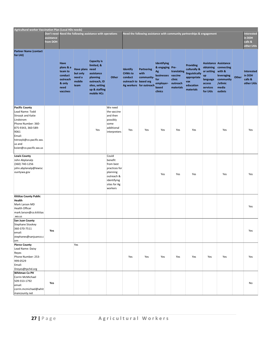| Agricultural worker Vaccination Plan (Local HDs needs)                                                                                                                                                  |                                      |                                                                                          |                                                         |                                                                                                                             |                                                                                                                    |                                                                        |                                                                    |                                                                                                           |                                                |                                                                                                    |                                                                                                |                                                                                          |       |                                                      |
|---------------------------------------------------------------------------------------------------------------------------------------------------------------------------------------------------------|--------------------------------------|------------------------------------------------------------------------------------------|---------------------------------------------------------|-----------------------------------------------------------------------------------------------------------------------------|--------------------------------------------------------------------------------------------------------------------|------------------------------------------------------------------------|--------------------------------------------------------------------|-----------------------------------------------------------------------------------------------------------|------------------------------------------------|----------------------------------------------------------------------------------------------------|------------------------------------------------------------------------------------------------|------------------------------------------------------------------------------------------|-------|------------------------------------------------------|
|                                                                                                                                                                                                         | Don't need<br>assistance<br>from DOH | Need the following assistance with operations                                            |                                                         |                                                                                                                             |                                                                                                                    | Need the following assistance with community partnerships & engagement |                                                                    |                                                                                                           |                                                |                                                                                                    |                                                                                                |                                                                                          |       | <b>Interested</b><br>in DOH<br>calls &<br>other LHJs |
|                                                                                                                                                                                                         |                                      |                                                                                          |                                                         |                                                                                                                             |                                                                                                                    |                                                                        |                                                                    |                                                                                                           |                                                |                                                                                                    |                                                                                                |                                                                                          |       |                                                      |
| <b>Partner Name (contact</b><br>for LHJ)                                                                                                                                                                |                                      | <b>Have</b><br>plans & a<br>team to<br>conduct<br>outreach<br>& only<br>need<br>vaccines | Have plans need<br>but only<br>need a<br>mobile<br>team | <b>Capacity is</b><br>limited, &<br>assistance<br>planning<br>outreach, ID<br>sites, setting<br>up & staffing<br>mobile HCs | Other                                                                                                              | <b>Identify</b><br><b>CHWs to</b><br>conduct<br>outreach to based org  | <b>Partnering</b><br>with<br>community-<br>Ag workers for outreach | <b>Identifying</b><br>& engaging Pre-<br>Αg<br>businesses vaccine<br>for<br>employer-<br>based<br>clinics | translating<br>clinic<br>outreach<br>materials | <b>Providing</b><br>culturally &<br>linguistically<br>appropriate<br>vax<br>education<br>materials | <b>Assistance Assistance</b><br>or setting<br>up<br>language<br>access<br>services<br>for LHJs | obtaining connecting<br>with &<br>leveraging<br>community<br>/ethnic<br>media<br>outlets | Other | Interested<br>in DOH<br>calls &<br>other LHJs        |
| <b>Pacific County</b><br>Lead Name: Todd<br>Strozyk and Katie<br>Lindstrom<br>Phone Number: 360-<br>875-9343, 360-589-<br>9061<br>Email:<br>tstrozyk@co.pacific.wa.<br>us and<br>koien@co.pacific.wa.us |                                      |                                                                                          |                                                         | Yes                                                                                                                         | We need<br>the vaccine<br>and then<br>possibly<br>some<br>additional<br>interpreters                               | Yes                                                                    | Yes                                                                | Yes                                                                                                       | Yes                                            | Yes                                                                                                |                                                                                                | Yes                                                                                      |       | Yes                                                  |
| <b>Lewis County</b><br>John Abplanalp<br>(360) 740-1256<br>john.abplanalp@lewisc<br>ountywa.gov                                                                                                         |                                      |                                                                                          |                                                         |                                                                                                                             | Could<br>benefit<br>from best<br>practices for<br>planning<br>outreach &<br>identifying<br>sites for Ag<br>workers |                                                                        |                                                                    | Yes                                                                                                       | Yes                                            | Yes                                                                                                |                                                                                                | Yes                                                                                      |       | Yes                                                  |
| <b>Kittitas County Public</b><br>Health<br>Mark Larson MD<br><b>Health Officer</b><br>mark.larson@co.kittitas<br>.wa.us                                                                                 |                                      |                                                                                          |                                                         |                                                                                                                             |                                                                                                                    |                                                                        |                                                                    |                                                                                                           |                                                |                                                                                                    |                                                                                                |                                                                                          |       | Yes                                                  |
| <b>San Juan County</b><br><b>Stephane Stookey</b><br>360-370-7511<br>email:<br>stephanes@sanjuanco.c<br>om                                                                                              | Yes                                  |                                                                                          |                                                         |                                                                                                                             |                                                                                                                    |                                                                        |                                                                    |                                                                                                           |                                                |                                                                                                    |                                                                                                |                                                                                          |       | Yes                                                  |
| <b>Pierce County</b><br>Lead Name: Daisy<br>Reyes<br>Phone Number: 253-<br>999-0529<br>Email:<br>Dreyes@tpchd.org                                                                                       |                                      |                                                                                          | Yes                                                     |                                                                                                                             |                                                                                                                    | Yes                                                                    | Yes                                                                | Yes                                                                                                       | Yes                                            | Yes                                                                                                | Yes                                                                                            | Yes                                                                                      |       | Yes                                                  |
| <b>Whitman Co PH</b><br>Corrin McMichael<br>509-553-1792<br>email:<br>corrin.mcmichael@whit<br>mancounty.net                                                                                            | Yes                                  |                                                                                          |                                                         |                                                                                                                             |                                                                                                                    |                                                                        |                                                                    |                                                                                                           |                                                |                                                                                                    |                                                                                                |                                                                                          |       | No                                                   |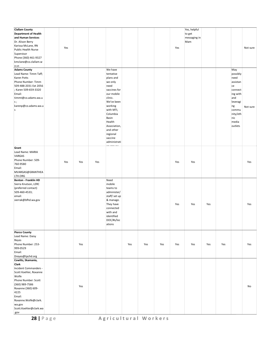| <b>Clallam County</b><br><b>Department of Health</b><br>and Human Services<br>Dr. Alison Berry<br>Karissa McLane, RN<br>Public Health Nurse<br>Supervisor<br>Phone (360) 461-9327<br>kmclane@co.clallam.w<br>a.us                            | Yes |     |     |                                                                                                                                                                                                                                        |     |     |     | Yes | Yes, helpful<br>to get<br>messaging in<br>Mam |     |     |                                                                                                                                           | Not sure |
|----------------------------------------------------------------------------------------------------------------------------------------------------------------------------------------------------------------------------------------------|-----|-----|-----|----------------------------------------------------------------------------------------------------------------------------------------------------------------------------------------------------------------------------------------|-----|-----|-----|-----|-----------------------------------------------|-----|-----|-------------------------------------------------------------------------------------------------------------------------------------------|----------|
| <b>Adams County</b><br>Lead Name: Timm Taff;<br>Karen Potts<br>Phone Number: Timm<br>509-488-2031 Ext 2056<br>; Karen 509-659-3320<br>Email:<br>timmt@co.adams.wa.u<br>$\mathsf{S}$ ;<br>karenp@co.adams.wa.u<br>s                           |     |     |     | We have<br>tentative<br>plans and<br>we only<br>need<br>vaccines for<br>our mobile<br>clinic.<br>We've been<br>working<br>with MTI,<br>Columbia<br>Basin<br>Health<br>Association,<br>and other<br>regional<br>vaccine<br>administrati |     |     |     |     |                                               |     |     | May<br>possibly<br>need<br>assistan<br>ce<br>connect<br>ing with<br>and<br>leveragi<br>ng<br>commu<br>nity/eth<br>nic<br>media<br>outlets | Not sure |
| Grant<br>Lead Name: MARIA<br>VARGAS<br>Phone Number: 509-<br>760-9580<br>Email:<br>MVARGAS@GRANTHEA<br>LTH.ORG                                                                                                                               | Yes | Yes | Yes |                                                                                                                                                                                                                                        |     |     |     | Yes | Yes                                           |     |     |                                                                                                                                           | Yes      |
| <b>Benton - Franklin HD</b><br>Sierra Knutson, LERC<br>(preferred contact)<br>509-460-4533;<br>email:<br>sierrak@bfhd.wa.gov                                                                                                                 |     |     |     | Need<br>mobile<br>teams to<br>administer/<br>staff/set up<br>& manage.<br>They have<br>connected<br>with and<br>identified<br>DOC/#s/loc<br>ations                                                                                     |     |     |     | Yes | Yes                                           | Yes |     |                                                                                                                                           | Yes      |
| <b>Pierce County</b><br>Lead Name: Daisy<br>Reyes<br>Phone Number: 253-<br>999-0529<br>Email:<br>Dreyes@tpchd.org                                                                                                                            |     | Yes |     |                                                                                                                                                                                                                                        | Yes | Yes | Yes | Yes | Yes                                           | Yes | Yes |                                                                                                                                           | Yes      |
| Cowlitz, Skamania,<br>Clark<br>Incident Commanders -<br>Scott Koehler, Roxanne<br>Wolfe<br>Phone Number: Scott<br>(360) 989-7586<br>Roxanne (360) 609-<br>4225<br>Email:<br>Roxanne.Wolfe@clark.<br>wa.gov<br>Scott.Koehler@clark.wa<br>.gov |     | Yes |     |                                                                                                                                                                                                                                        |     |     |     |     |                                               |     |     |                                                                                                                                           | No       |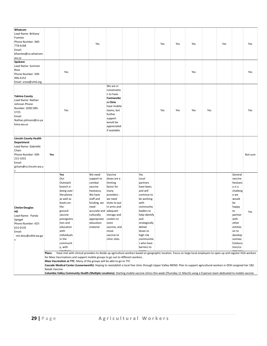| Whatcom<br>Lead Name: Brittany<br>Fuentes<br>Phone Number: 360-<br>778-6168<br>Email:<br>bfuentes@co.whatcom.<br>wa.us                                 |                                                                                                                                                                                                                                                                                                                                                                                                                                                                                                             |                                                                                                                                                                                                                         |  | Yes                                                                                                                                                                                               |                                                                                                                                                                                                  |  |                                                                                                                                                                                                                                            | Yes | Yes | Yes |     | Yes |                                                                                                                                                                                         | Yes      |
|--------------------------------------------------------------------------------------------------------------------------------------------------------|-------------------------------------------------------------------------------------------------------------------------------------------------------------------------------------------------------------------------------------------------------------------------------------------------------------------------------------------------------------------------------------------------------------------------------------------------------------------------------------------------------------|-------------------------------------------------------------------------------------------------------------------------------------------------------------------------------------------------------------------------|--|---------------------------------------------------------------------------------------------------------------------------------------------------------------------------------------------------|--------------------------------------------------------------------------------------------------------------------------------------------------------------------------------------------------|--|--------------------------------------------------------------------------------------------------------------------------------------------------------------------------------------------------------------------------------------------|-----|-----|-----|-----|-----|-----------------------------------------------------------------------------------------------------------------------------------------------------------------------------------------|----------|
| Spokane<br>Lead Name: Summer<br>Rose<br>Phone Number: 509-<br>496-4152<br>Email: srose@srhd.org                                                        |                                                                                                                                                                                                                                                                                                                                                                                                                                                                                                             | Yes                                                                                                                                                                                                                     |  |                                                                                                                                                                                                   |                                                                                                                                                                                                  |  |                                                                                                                                                                                                                                            |     |     | Yes |     |     |                                                                                                                                                                                         | Yes      |
| <b>Yakima County</b><br>Lead Name: Nathan<br>Johnson Phone<br>Number: (509) 985-<br>5725<br>Email:<br>Nathan.johnson@co.ya<br>kima.wa.us               |                                                                                                                                                                                                                                                                                                                                                                                                                                                                                                             | Yes                                                                                                                                                                                                                     |  |                                                                                                                                                                                                   | We are in<br>conversatio<br>n to have<br>Farmworke<br>rs Clinic<br>have mobile<br>teams, but<br>further<br>support<br>would be<br>appreciated<br>if available.                                   |  |                                                                                                                                                                                                                                            | Yes | Yes | Yes | Yes |     |                                                                                                                                                                                         | Yes      |
| <b>Lincoln County Health</b><br>Department<br>Lead Name: Gabrielle<br>Chain<br>Phone Number: 509-<br>215-1031<br>Email:<br>gchain@co.lincoln.wa.u<br>s | Yes                                                                                                                                                                                                                                                                                                                                                                                                                                                                                                         |                                                                                                                                                                                                                         |  |                                                                                                                                                                                                   |                                                                                                                                                                                                  |  |                                                                                                                                                                                                                                            |     |     |     |     |     |                                                                                                                                                                                         | Not sure |
| <b>Chelan-Douglas</b><br>HD<br>Lead Name: Panda<br>Spiegel<br>Phone Number: 425-<br>615-0135<br>Email:<br>imt.dosc@cdhd.wa.go<br>v                     | Plans:                                                                                                                                                                                                                                                                                                                                                                                                                                                                                                      | Yes<br>Our<br>Outreach<br>branch is<br>doing over-<br>the-phone<br>as well as<br>boots-on-<br>the-<br>ground<br>vaccine<br>preregistra<br>tion and<br>education<br>with<br>individuals<br>in the<br>communit<br>y, with |  | We need<br>support to<br>combat<br>vaccine<br>hesitancy.<br>We have<br>staff and<br>funding, we<br>need<br>accurate and adequate<br>culturally<br>appropriate coolers to<br>education<br>material | Vaccine<br>doses are a<br>limiting<br>factor for<br>many<br>providers -<br>we need<br>shots to put<br>in arms and<br>storage and<br>store<br>vaccine, and<br>move<br>vaccine to<br>clinic sites. |  | Yes<br>Local<br>partners<br>have been,<br>and will<br>continue to<br>be working<br>with<br>community<br>leaders to<br>help identify<br>and<br>strategically<br>deliver<br>doses to<br>high risk<br>communitie<br>s who have<br>barriers to |     |     |     |     |     | General<br>vaccine<br>hesitanc<br>y is a<br>challeng<br>e we<br>would<br>be<br>happy<br>to<br>partner<br>with<br>other<br>entities<br>on to<br>develop<br>outreac<br>h/educa<br>tion/co | Yes      |
|                                                                                                                                                        | Have met with clinical providers to divide up agriculture workers based on geographic location. Focus on large local employers to open up and register H2A workers<br>for Mass Vaccinations and support mobile groups to go out to different workers.<br>Mass Vaccination at TTC: Many of the groups will be able to go to TTC<br>Cascade Medical Center (Leavenworth): Hoping to reestablish a local free clinic through Upper Valley MEND. Plan to support agricultural workers in DOH assigned tier 1B2. |                                                                                                                                                                                                                         |  |                                                                                                                                                                                                   |                                                                                                                                                                                                  |  |                                                                                                                                                                                                                                            |     |     |     |     |     |                                                                                                                                                                                         |          |

Needs Vaccine.

**Columbia Valley Community Health (Multiple Locations):** Starting mobile vaccine clinics this week (Thursday 11 March) using a 9-person team dedicated to mobile vaccine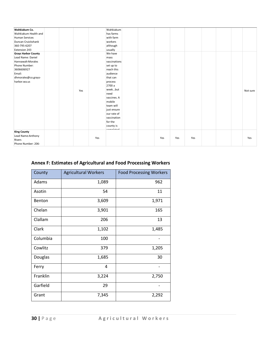| Wahkiakum Co.              | Wahkiakum    |     |     |     |  |          |
|----------------------------|--------------|-----|-----|-----|--|----------|
| Wahkiakum Health and       | has farms    |     |     |     |  |          |
| <b>Human Services</b>      | with farm    |     |     |     |  |          |
| Duncan Cruickshank         | workers      |     |     |     |  |          |
| 360-795-6207               | although     |     |     |     |  |          |
| Extension 243              | usually      |     |     |     |  |          |
| <b>Grays Harbor County</b> | We have      |     |     |     |  |          |
| Lead Name: Daniel          | mass         |     |     |     |  |          |
| Hannawalt-Morales          | vaccinations |     |     |     |  |          |
| Phone Number:              | set up to    |     |     |     |  |          |
| 3606606927                 | reach this   |     |     |     |  |          |
| Email:                     | audience     |     |     |     |  |          |
| dhmorales@co.grays-        | that can     |     |     |     |  |          |
| harbor.wa.us               | process      |     |     |     |  |          |
|                            | 2700 a       |     |     |     |  |          |
| Yes                        | weekbut      |     |     |     |  | Not sure |
|                            | need         |     |     |     |  |          |
|                            | vaccines. A  |     |     |     |  |          |
|                            | mobile       |     |     |     |  |          |
|                            | team will    |     |     |     |  |          |
|                            | just ensure  |     |     |     |  |          |
|                            | our rate of  |     |     |     |  |          |
|                            | vaccination  |     |     |     |  |          |
|                            | for the      |     |     |     |  |          |
|                            | county is    |     |     |     |  |          |
| <b>King County</b>         | أممقم أسمسمم |     |     |     |  |          |
| Lead Name: Anthony         |              |     |     |     |  |          |
| Rivers                     | Yes          | Yes | Yes | Yes |  | Yes      |
| Phone Number: 206-         |              |     |     |     |  |          |

#### **Annex F: Estimates of Agricultural and Food Processing Workers**

| County   | <b>Agricultural Workers</b> | <b>Food Processing Workers</b> |
|----------|-----------------------------|--------------------------------|
| Adams    | 1,089                       | 962                            |
| Asotin   | 54                          | 11                             |
| Benton   | 3,609                       | 1,971                          |
| Chelan   | 3,901                       | 165                            |
| Clallam  | 206                         | 13                             |
| Clark    | 1,102                       | 1,485                          |
| Columbia | 100                         |                                |
| Cowlitz  | 379                         | 1,205                          |
| Douglas  | 1,685                       | 30                             |
| Ferry    | 4                           |                                |
| Franklin | 3,224                       | 2,750                          |
| Garfield | 29                          |                                |
| Grant    | 7,345                       | 2,292                          |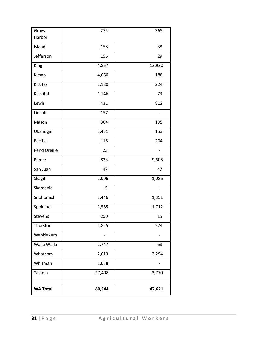| Grays           | 275    | 365                      |
|-----------------|--------|--------------------------|
| Harbor          |        |                          |
| Island          | 158    | 38                       |
| Jefferson       | 156    | 29                       |
| King            | 4,867  | 13,930                   |
| Kitsap          | 4,060  | 188                      |
| Kittitas        | 1,180  | 224                      |
| Klickitat       | 1,146  | 73                       |
| Lewis           | 431    | 812                      |
| Lincoln         | 157    |                          |
| Mason           | 304    | 195                      |
| Okanogan        | 3,431  | 153                      |
| Pacific         | 116    | 204                      |
| Pend Oreille    | 23     |                          |
| Pierce          | 833    | 9,606                    |
| San Juan        | 47     | 47                       |
| Skagit          | 2,006  | 1,086                    |
| Skamania        | 15     | $\overline{\phantom{a}}$ |
| Snohomish       | 1,446  | 1,351                    |
| Spokane         | 1,585  | 1,712                    |
| Stevens         | 250    | 15                       |
| Thurston        | 1,825  | 574                      |
| Wahkiakum       | -      | -                        |
| Walla Walla     | 2,747  | 68                       |
| Whatcom         | 2,013  | 2,294                    |
| Whitman         | 1,038  |                          |
| Yakima          | 27,408 | 3,770                    |
|                 |        |                          |
| <b>WA Total</b> | 80,244 | 47,621                   |